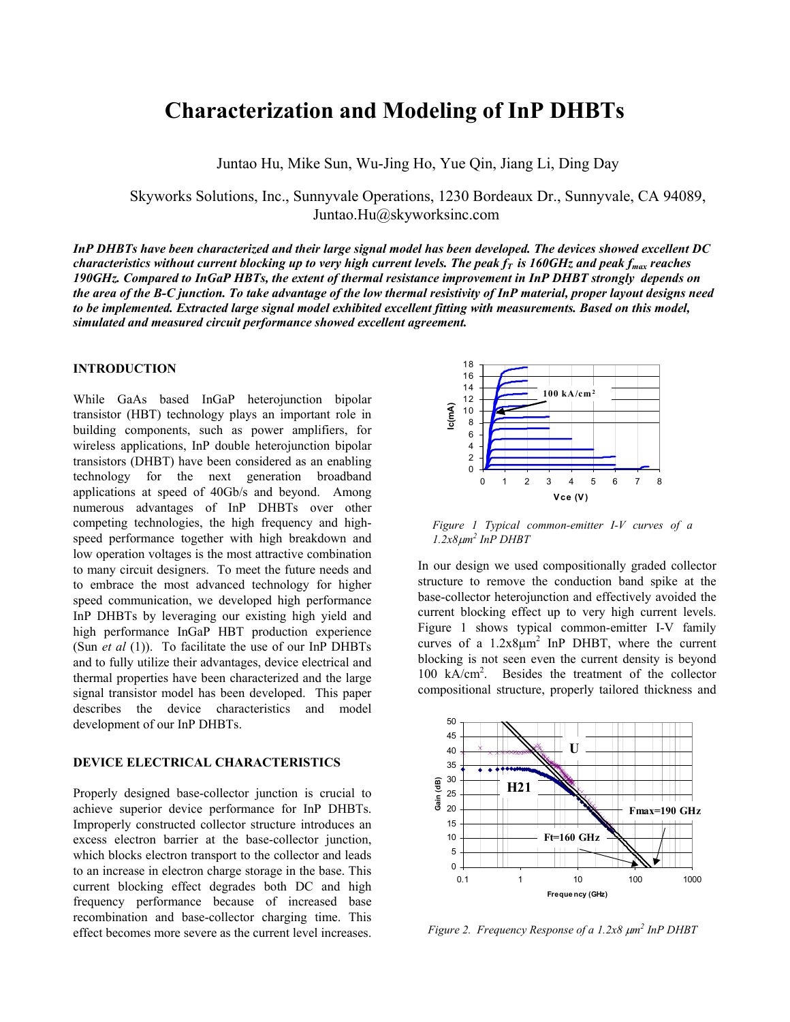# **Characterization and Modeling of InP DHBTs**

Juntao Hu, Mike Sun, Wu-Jing Ho, Yue Qin, Jiang Li, Ding Day

Skyworks Solutions, Inc., Sunnyvale Operations, 1230 Bordeaux Dr., Sunnyvale, CA 94089, Juntao.Hu@skyworksinc.com

*InP DHBTs have been characterized and their large signal model has been developed. The devices showed excellent DC characteristics without current blocking up to very high current levels. The peak*  $f_T$  *is 160GHz and peak*  $f_{max}$  reaches *190GHz. Compared to InGaP HBTs, the extent of thermal resistance improvement in InP DHBT strongly depends on the area of the B-C junction. To take advantage of the low thermal resistivity of InP material, proper layout designs need to be implemented. Extracted large signal model exhibited excellent fitting with measurements. Based on this model, simulated and measured circuit performance showed excellent agreement.*

## **INTRODUCTION**

While GaAs based InGaP heterojunction bipolar transistor (HBT) technology plays an important role in building components, such as power amplifiers, for wireless applications, InP double heterojunction bipolar transistors (DHBT) have been considered as an enabling technology for the next generation broadband applications at speed of 40Gb/s and beyond. Among numerous advantages of InP DHBTs over other competing technologies, the high frequency and highspeed performance together with high breakdown and low operation voltages is the most attractive combination to many circuit designers. To meet the future needs and to embrace the most advanced technology for higher speed communication, we developed high performance InP DHBTs by leveraging our existing high yield and high performance InGaP HBT production experience (Sun *et al* (1)). To facilitate the use of our InP DHBTs and to fully utilize their advantages, device electrical and thermal properties have been characterized and the large signal transistor model has been developed. This paper describes the device characteristics and model development of our InP DHBTs.

# **DEVICE ELECTRICAL CHARACTERISTICS**

Properly designed base-collector junction is crucial to achieve superior device performance for InP DHBTs. Improperly constructed collector structure introduces an excess electron barrier at the base-collector junction, which blocks electron transport to the collector and leads to an increase in electron charge storage in the base. This current blocking effect degrades both DC and high frequency performance because of increased base recombination and base-collector charging time. This effect becomes more severe as the current level increases.



*Figure 1 Typical common-emitter I-V curves of a 1.2x8*µ*m2 InP DHBT* 

In our design we used compositionally graded collector structure to remove the conduction band spike at the base-collector heterojunction and effectively avoided the current blocking effect up to very high current levels. Figure 1 shows typical common-emitter I-V family curves of a  $1.2x8\mu m^2$  InP DHBT, where the current blocking is not seen even the current density is beyond 100 kA/cm2 . Besides the treatment of the collector compositional structure, properly tailored thickness and



*Figure 2. Frequency Response of a 1.2x8*  $\mu$ *m<sup>2</sup> InP DHBT*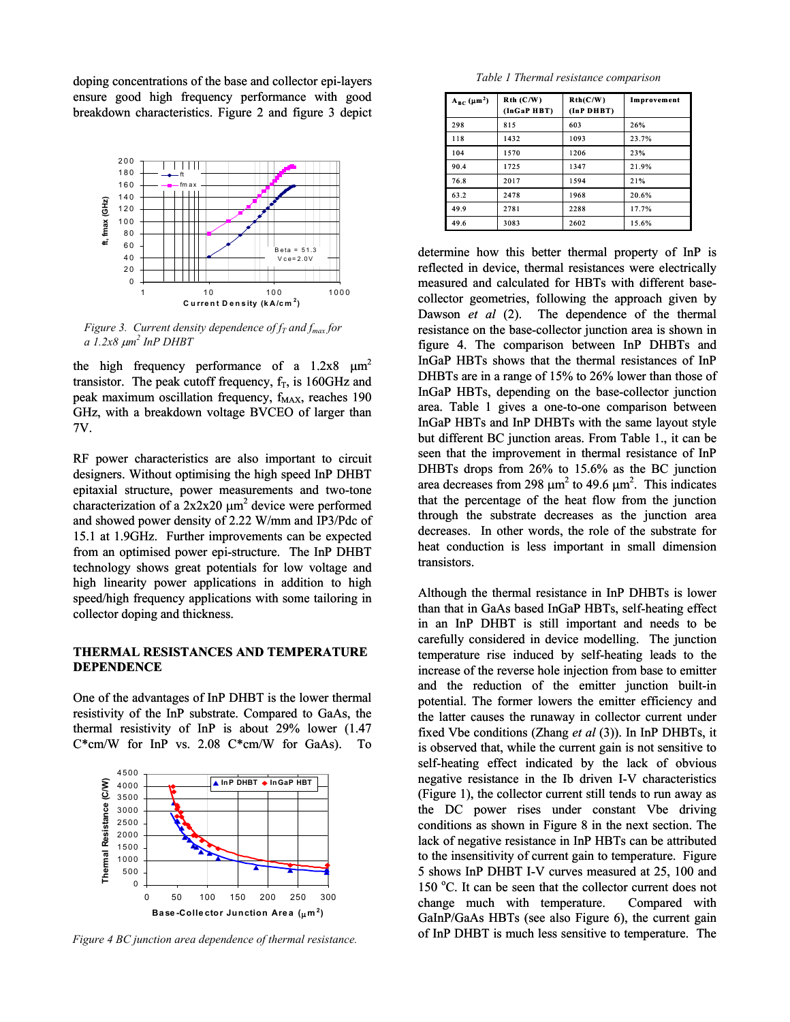doping concentrations of the base and collector epi-layers ensure good high frequency performance with good breakdown characteristics. Figure 2 and figure 3 depict



*Figure 3. Current density dependence of*  $f_T$  *and*  $f_{max}$  *for a 1.2x8* <sup>µ</sup>*m2 InP DHBT* 

the high frequency performance of a  $1.2x8 \mu m^2$ transistor. The peak cutoff frequency,  $f_T$ , is 160GHz and peak maximum oscillation frequency,  $f_{MAX}$ , reaches 190 GHz, with a breakdown voltage BVCEO of larger than 7V.

RF power characteristics are also important to circuit designers. Without optimising the high speed InP DHBT epitaxial structure, power measurements and two-tone characterization of a  $2x2x20 \mu m^2$  device were performed and showed power density of 2.22 W/mm and IP3/Pdc of 15.1 at 1.9GHz. Further improvements can be expected from an optimised power epi-structure. The InP DHBT technology shows great potentials for low voltage and high linearity power applications in addition to high speed/high frequency applications with some tailoring in collector doping and thickness.

# **THERMAL RESISTANCES AND TEMPERATURE DEPENDENCE**

One of the advantages of InP DHBT is the lower thermal resistivity of the InP substrate. Compared to GaAs, the thermal resistivity of InP is about 29% lower (1.47  $C*cm/W$  for InP vs. 2.08  $C*cm/W$  for GaAs). To



*Figure 4 BC junction area dependence of thermal resistance.*

*Table 1 Thermal resistance comparison* 

| $A_{BC}(\mu m^2)$ | $Rth$ ( $C/W$ )<br>(InGaP HBT) | Rth(C/W)<br>(InP DHBT) | Improvement |
|-------------------|--------------------------------|------------------------|-------------|
| 298               | 815                            | 603                    | 26%         |
| 118               | 1432                           | 1093                   | 23.7%       |
| 104               | 1570                           | 1206                   | 23%         |
| 90.4              | 1725                           | 1347                   | 21.9%       |
| 76.8              | 2017                           | 1594                   | 21%         |
| 63.2              | 2478                           | 1968                   | 20.6%       |
| 499               | 2781                           | 2288                   | 17.7%       |
| 49.6              | 3083                           | 2602                   | 15.6%       |

determine how this better thermal property of InP is reflected in device, thermal resistances were electrically measured and calculated for HBTs with different basecollector geometries, following the approach given by Dawson *et al* (2). The dependence of the thermal resistance on the base-collector junction area is shown in figure 4. The comparison between InP DHBTs and InGaP HBTs shows that the thermal resistances of InP DHBTs are in a range of 15% to 26% lower than those of InGaP HBTs, depending on the base-collector junction area. Table 1 gives a one-to-one comparison between InGaP HBTs and InP DHBTs with the same layout style but different BC junction areas. From Table 1., it can be seen that the improvement in thermal resistance of InP DHBTs drops from 26% to 15.6% as the BC junction area decreases from 298  $\mu$ m<sup>2</sup> to 49.6  $\mu$ m<sup>2</sup>. This indicates that the percentage of the heat flow from the junction through the substrate decreases as the junction area decreases. In other words, the role of the substrate for heat conduction is less important in small dimension transistors.

Although the thermal resistance in InP DHBTs is lower than that in GaAs based InGaP HBTs, self-heating effect in an InP DHBT is still important and needs to be carefully considered in device modelling. The junction temperature rise induced by self-heating leads to the increase of the reverse hole injection from base to emitter and the reduction of the emitter junction built-in potential. The former lowers the emitter efficiency and the latter causes the runaway in collector current under fixed Vbe conditions (Zhang *et al* (3)). In InP DHBTs, it is observed that, while the current gain is not sensitive to self-heating effect indicated by the lack of obvious negative resistance in the Ib driven I-V characteristics (Figure 1), the collector current still tends to run away as the DC power rises under constant Vbe driving conditions as shown in Figure 8 in the next section. The lack of negative resistance in InP HBTs can be attributed to the insensitivity of current gain to temperature. Figure 5 shows InP DHBT I-V curves measured at 25, 100 and 150 °C. It can be seen that the collector current does not change much with temperature. Compared with GaInP/GaAs HBTs (see also Figure 6), the current gain of InP DHBT is much less sensitive to temperature. The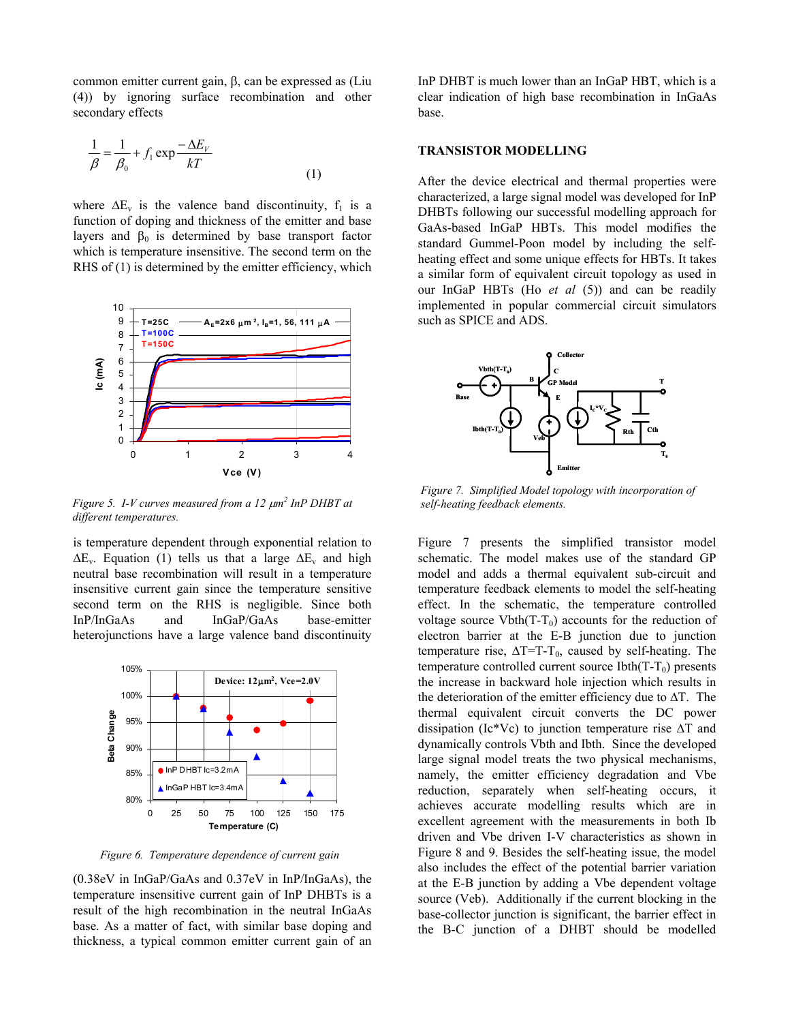common emitter current gain, β, can be expressed as (Liu (4)) by ignoring surface recombination and other secondary effects

$$
\frac{1}{\beta} = \frac{1}{\beta_0} + f_1 \exp \frac{-\Delta E_V}{kT}
$$
\n(1)

where  $\Delta E_v$  is the valence band discontinuity,  $f_1$  is a function of doping and thickness of the emitter and base layers and  $β_0$  is determined by base transport factor which is temperature insensitive. The second term on the RHS of (1) is determined by the emitter efficiency, which



*Figure 5. I-V curves measured from a 12*  $\mu$ *m<sup>2</sup> InP DHBT at different temperatures.* 

is temperature dependent through exponential relation to  $\Delta E_v$ . Equation (1) tells us that a large  $\Delta E_v$  and high neutral base recombination will result in a temperature insensitive current gain since the temperature sensitive second term on the RHS is negligible. Since both InP/InGaAs and InGaP/GaAs base-emitter heterojunctions have a large valence band discontinuity



*Figure 6. Temperature dependence of current gain*

(0.38eV in InGaP/GaAs and 0.37eV in InP/InGaAs), the temperature insensitive current gain of InP DHBTs is a result of the high recombination in the neutral InGaAs base. As a matter of fact, with similar base doping and thickness, a typical common emitter current gain of an

InP DHBT is much lower than an InGaP HBT, which is a clear indication of high base recombination in InGaAs base.

# **TRANSISTOR MODELLING**

After the device electrical and thermal properties were characterized, a large signal model was developed for InP DHBTs following our successful modelling approach for GaAs-based InGaP HBTs. This model modifies the standard Gummel-Poon model by including the selfheating effect and some unique effects for HBTs. It takes a similar form of equivalent circuit topology as used in our InGaP HBTs (Ho *et al* (5)) and can be readily implemented in popular commercial circuit simulators such as SPICE and ADS.



*Figure 7. Simplified Model topology with incorporation of self-heating feedback elements.* 

Figure 7 presents the simplified transistor model schematic. The model makes use of the standard GP model and adds a thermal equivalent sub-circuit and temperature feedback elements to model the self-heating effect. In the schematic, the temperature controlled voltage source Vbth( $T-T_0$ ) accounts for the reduction of electron barrier at the E-B junction due to junction temperature rise,  $\Delta T=T-T_0$ , caused by self-heating. The temperature controlled current source Ibth( $T-T_0$ ) presents the increase in backward hole injection which results in the deterioration of the emitter efficiency due to ∆T. The thermal equivalent circuit converts the DC power dissipation (Ic\*Vc) to junction temperature rise ∆T and dynamically controls Vbth and Ibth. Since the developed large signal model treats the two physical mechanisms, namely, the emitter efficiency degradation and Vbe reduction, separately when self-heating occurs, it achieves accurate modelling results which are in excellent agreement with the measurements in both Ib driven and Vbe driven I-V characteristics as shown in Figure 8 and 9. Besides the self-heating issue, the model also includes the effect of the potential barrier variation at the E-B junction by adding a Vbe dependent voltage source (Veb). Additionally if the current blocking in the base-collector junction is significant, the barrier effect in the B-C junction of a DHBT should be modelled